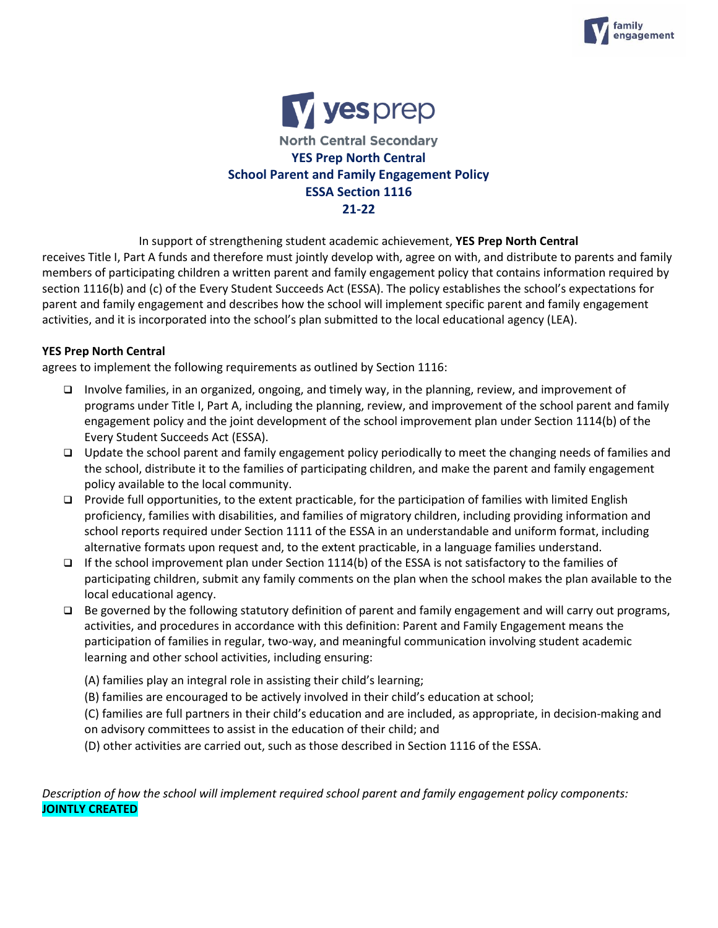



In support of strengthening student academic achievement, **YES Prep North Central** receives Title I, Part A funds and therefore must jointly develop with, agree on with, and distribute to parents and family members of participating children a written parent and family engagement policy that contains information required by section 1116(b) and (c) of the Every Student Succeeds Act (ESSA). The policy establishes the school's expectations for parent and family engagement and describes how the school will implement specific parent and family engagement activities, and it is incorporated into the school's plan submitted to the local educational agency (LEA).

## **YES Prep North Central**

agrees to implement the following requirements as outlined by Section 1116:

- ❑ Involve families, in an organized, ongoing, and timely way, in the planning, review, and improvement of programs under Title I, Part A, including the planning, review, and improvement of the school parent and family engagement policy and the joint development of the school improvement plan under Section 1114(b) of the Every Student Succeeds Act (ESSA).
- ❑ Update the school parent and family engagement policy periodically to meet the changing needs of families and the school, distribute it to the families of participating children, and make the parent and family engagement policy available to the local community.
- ❑ Provide full opportunities, to the extent practicable, for the participation of families with limited English proficiency, families with disabilities, and families of migratory children, including providing information and school reports required under Section 1111 of the ESSA in an understandable and uniform format, including alternative formats upon request and, to the extent practicable, in a language families understand.
- ❑ If the school improvement plan under Section 1114(b) of the ESSA is not satisfactory to the families of participating children, submit any family comments on the plan when the school makes the plan available to the local educational agency.
- ❑ Be governed by the following statutory definition of parent and family engagement and will carry out programs, activities, and procedures in accordance with this definition: Parent and Family Engagement means the participation of families in regular, two-way, and meaningful communication involving student academic learning and other school activities, including ensuring:
	- (A) families play an integral role in assisting their child's learning;
	- (B) families are encouraged to be actively involved in their child's education at school;
	- (C) families are full partners in their child's education and are included, as appropriate, in decision-making and on advisory committees to assist in the education of their child; and
	- (D) other activities are carried out, such as those described in Section 1116 of the ESSA.

*Description of how the school will implement required school parent and family engagement policy components:*  **JOINTLY CREATED**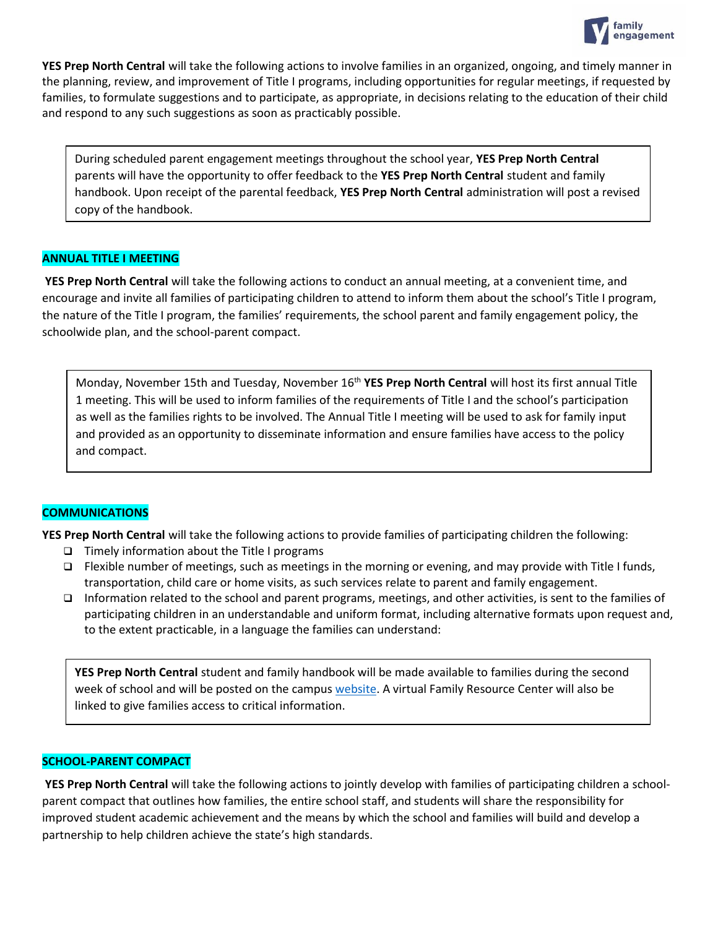

**YES Prep North Central** will take the following actions to involve families in an organized, ongoing, and timely manner in the planning, review, and improvement of Title I programs, including opportunities for regular meetings, if requested by families, to formulate suggestions and to participate, as appropriate, in decisions relating to the education of their child and respond to any such suggestions as soon as practicably possible.

During scheduled parent engagement meetings throughout the school year, **YES Prep North Central** parents will have the opportunity to offer feedback to the **YES Prep North Central** student and family handbook. Upon receipt of the parental feedback, **YES Prep North Central** administration will post a revised copy of the handbook.

## **ANNUAL TITLE I MEETING**

**YES Prep North Central** will take the following actions to conduct an annual meeting, at a convenient time, and encourage and invite all families of participating children to attend to inform them about the school's Title I program, the nature of the Title I program, the families' requirements, the school parent and family engagement policy, the schoolwide plan, and the school-parent compact.

Monday, November 15th and Tuesday, November 16th **YES Prep North Central** will host its first annual Title 1 meeting. This will be used to inform families of the requirements of Title I and the school's participation as well as the families rights to be involved. The Annual Title I meeting will be used to ask for family input and provided as an opportunity to disseminate information and ensure families have access to the policy and compact.

# **COMMUNICATIONS**

**YES Prep North Central** will take the following actions to provide families of participating children the following:

- ❑ Timely information about the Title I programs
- ❑ Flexible number of meetings, such as meetings in the morning or evening, and may provide with Title I funds, transportation, child care or home visits, as such services relate to parent and family engagement.
- ❑ Information related to the school and parent programs, meetings, and other activities, is sent to the families of participating children in an understandable and uniform format, including alternative formats upon request and, to the extent practicable, in a language the families can understand:

**YES Prep North Central** student and family handbook will be made available to families during the second week of school and will be posted on the campus [website.](https://northcentral.yesprep.org/for-parents/get-involved/title-1-meetings) A virtual Family Resource Center will also be linked to give families access to critical information.

#### **SCHOOL-PARENT COMPACT**

**YES Prep North Central** will take the following actions to jointly develop with families of participating children a schoolparent compact that outlines how families, the entire school staff, and students will share the responsibility for improved student academic achievement and the means by which the school and families will build and develop a partnership to help children achieve the state's high standards.